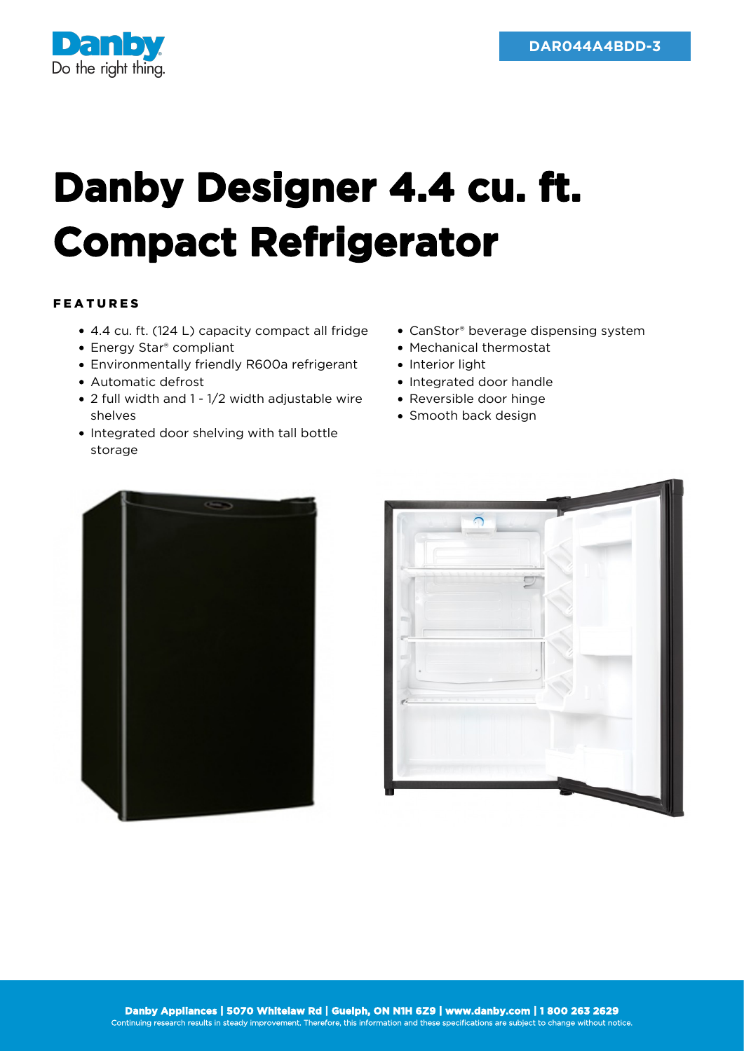

## **Danby Designer 4.4 cu. ft. Compact Refrigerator**

## FEATURES

- 4.4 cu. ft. (124 L) capacity compact all fridge
- Energy Star® compliant
- Environmentally friendly R600a refrigerant
- Automatic defrost
- 2 full width and 1 1/2 width adjustable wire shelves
- Integrated door shelving with tall bottle storage
- CanStor® beverage dispensing system
- Mechanical thermostat
- Interior light
- Integrated door handle
- Reversible door hinge
- Smooth back design